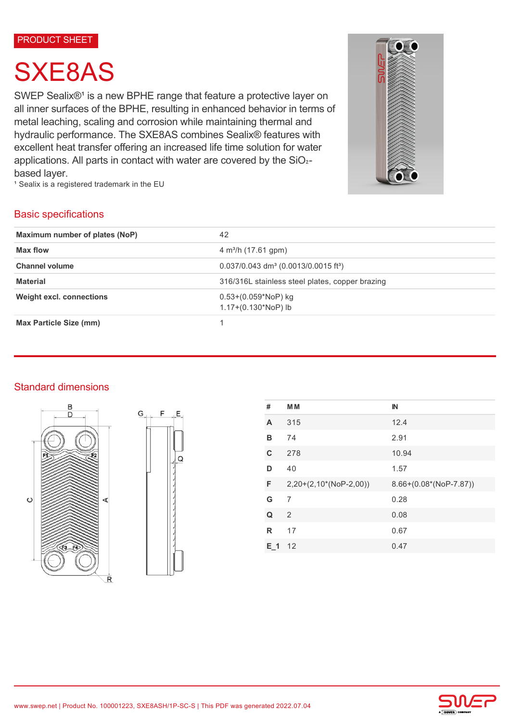#### PRODUCT SHEET

# SXE8AS

SWEP Sealix®<sup>1</sup> is a new BPHE range that feature a protective layer on all inner surfaces of the BPHE, resulting in enhanced behavior in terms of metal leaching, scaling and corrosion while maintaining thermal and hydraulic performance. The SXE8AS combines Sealix® features with excellent heat transfer offering an increased life time solution for water applications. All parts in contact with water are covered by the SiO2based layer.

<sup>1</sup> Sealix is a registered trademark in the EU



## Basic specifications

| Maximum number of plates (NoP)  | 42                                                             |  |
|---------------------------------|----------------------------------------------------------------|--|
| Max flow                        | $4 \text{ m}^3$ /h (17.61 gpm)                                 |  |
| <b>Channel volume</b>           | $0.037/0.043$ dm <sup>3</sup> (0.0013/0.0015 ft <sup>3</sup> ) |  |
| <b>Material</b>                 | 316/316L stainless steel plates, copper brazing                |  |
| <b>Weight excl. connections</b> | $0.53+(0.059*NoP)$ kg<br>$1.17+(0.130*NoP)$ lb                 |  |
| <b>Max Particle Size (mm)</b>   |                                                                |  |

### Standard dimensions





| #   | M <sub>M</sub>           | IN                       |
|-----|--------------------------|--------------------------|
| A   | 315                      | 12.4                     |
| в   | 74                       | 2.91                     |
| C   | 278                      | 10.94                    |
| D   | 40                       | 1.57                     |
| F   | $2,20+(2,10*(NoP-2,00))$ | $8.66+(0.08*(NoP-7.87))$ |
| G   | 7                        | 0.28                     |
| Q   | 2                        | 0.08                     |
| R   | 17                       | 0.67                     |
| E 1 | 12                       | 0.47                     |